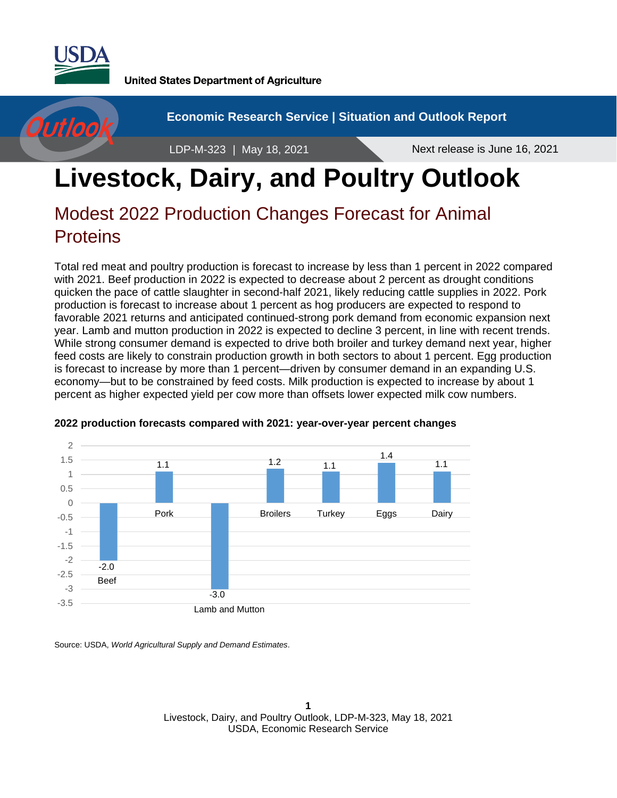

**United States Department of Agriculture** 



**Economic Research Service | Situation and Outlook Report**

LDP-M-323 | May 18, 2021 Next release is June 16, 2021

# **Livestock, Dairy, and Poultry Outlook**

# Modest 2022 Production Changes Forecast for Animal **Proteins**

Total red meat and poultry production is forecast to increase by less than 1 percent in 2022 compared with 2021. Beef production in 2022 is expected to decrease about 2 percent as drought conditions quicken the pace of cattle slaughter in second-half 2021, likely reducing cattle supplies in 2022. Pork production is forecast to increase about 1 percent as hog producers are expected to respond to favorable 2021 returns and anticipated continued-strong pork demand from economic expansion next year. Lamb and mutton production in 2022 is expected to decline 3 percent, in line with recent trends. While strong consumer demand is expected to drive both broiler and turkey demand next year, higher feed costs are likely to constrain production growth in both sectors to about 1 percent. Egg production is forecast to increase by more than 1 percent—driven by consumer demand in an expanding U.S. economy—but to be constrained by feed costs. Milk production is expected to increase by about 1 percent as higher expected yield per cow more than offsets lower expected milk cow numbers.



## **2022 production forecasts compared with 2021: year-over-year percent changes**

Source: USDA, *World Agricultural Supply and Demand Estimates*.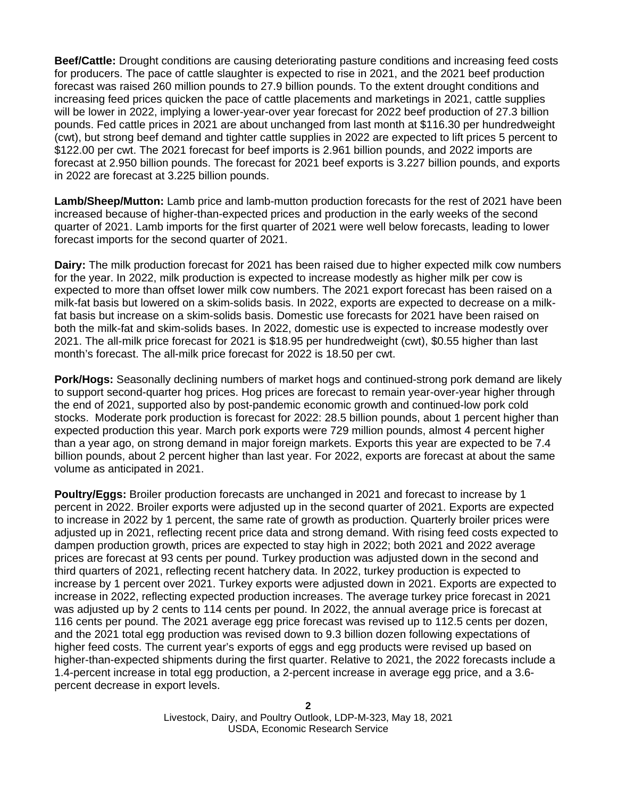**Beef/Cattle:** Drought conditions are causing deteriorating pasture conditions and increasing feed costs for producers. The pace of cattle slaughter is expected to rise in 2021, and the 2021 beef production forecast was raised 260 million pounds to 27.9 billion pounds. To the extent drought conditions and increasing feed prices quicken the pace of cattle placements and marketings in 2021, cattle supplies will be lower in 2022, implying a lower-year-over year forecast for 2022 beef production of 27.3 billion pounds. Fed cattle prices in 2021 are about unchanged from last month at \$116.30 per hundredweight (cwt), but strong beef demand and tighter cattle supplies in 2022 are expected to lift prices 5 percent to \$122.00 per cwt. The 2021 forecast for beef imports is 2.961 billion pounds, and 2022 imports are forecast at 2.950 billion pounds. The forecast for 2021 beef exports is 3.227 billion pounds, and exports in 2022 are forecast at 3.225 billion pounds.

**Lamb/Sheep/Mutton:** Lamb price and lamb-mutton production forecasts for the rest of 2021 have been increased because of higher-than-expected prices and production in the early weeks of the second quarter of 2021. Lamb imports for the first quarter of 2021 were well below forecasts, leading to lower forecast imports for the second quarter of 2021.

**Dairy:** The milk production forecast for 2021 has been raised due to higher expected milk cow numbers for the year. In 2022, milk production is expected to increase modestly as higher milk per cow is expected to more than offset lower milk cow numbers. The 2021 export forecast has been raised on a milk-fat basis but lowered on a skim-solids basis. In 2022, exports are expected to decrease on a milkfat basis but increase on a skim-solids basis. Domestic use forecasts for 2021 have been raised on both the milk-fat and skim-solids bases. In 2022, domestic use is expected to increase modestly over 2021. The all-milk price forecast for 2021 is \$18.95 per hundredweight (cwt), \$0.55 higher than last month's forecast. The all-milk price forecast for 2022 is 18.50 per cwt.

**Pork/Hogs:** Seasonally declining numbers of market hogs and continued-strong pork demand are likely to support second-quarter hog prices. Hog prices are forecast to remain year-over-year higher through the end of 2021, supported also by post-pandemic economic growth and continued-low pork cold stocks. Moderate pork production is forecast for 2022: 28.5 billion pounds, about 1 percent higher than expected production this year. March pork exports were 729 million pounds, almost 4 percent higher than a year ago, on strong demand in major foreign markets. Exports this year are expected to be 7.4 billion pounds, about 2 percent higher than last year. For 2022, exports are forecast at about the same volume as anticipated in 2021.

**Poultry/Eggs:** Broiler production forecasts are unchanged in 2021 and forecast to increase by 1 percent in 2022. Broiler exports were adjusted up in the second quarter of 2021. Exports are expected to increase in 2022 by 1 percent, the same rate of growth as production. Quarterly broiler prices were adjusted up in 2021, reflecting recent price data and strong demand. With rising feed costs expected to dampen production growth, prices are expected to stay high in 2022; both 2021 and 2022 average prices are forecast at 93 cents per pound. Turkey production was adjusted down in the second and third quarters of 2021, reflecting recent hatchery data. In 2022, turkey production is expected to increase by 1 percent over 2021. Turkey exports were adjusted down in 2021. Exports are expected to increase in 2022, reflecting expected production increases. The average turkey price forecast in 2021 was adjusted up by 2 cents to 114 cents per pound. In 2022, the annual average price is forecast at 116 cents per pound. The 2021 average egg price forecast was revised up to 112.5 cents per dozen, and the 2021 total egg production was revised down to 9.3 billion dozen following expectations of higher feed costs. The current year's exports of eggs and egg products were revised up based on higher-than-expected shipments during the first quarter. Relative to 2021, the 2022 forecasts include a 1.4-percent increase in total egg production, a 2-percent increase in average egg price, and a 3.6 percent decrease in export levels.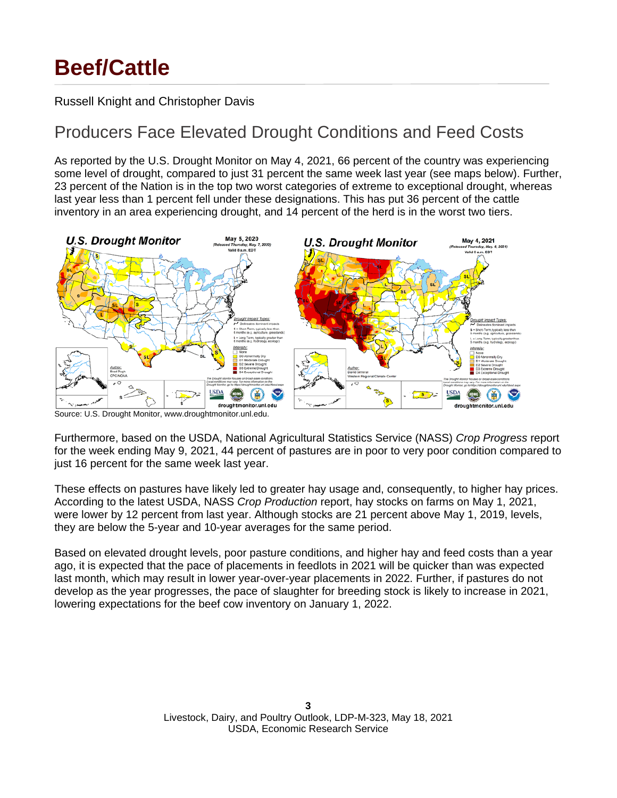# **Beef/Cattle**

Russell Knight and Christopher Davis

## Producers Face Elevated Drought Conditions and Feed Costs

As reported by the U.S. Drought Monitor on May 4, 2021, 66 percent of the country was experiencing some level of drought, compared to just 31 percent the same week last year (see maps below). Further, 23 percent of the Nation is in the top two worst categories of extreme to exceptional drought, whereas last year less than 1 percent fell under these designations. This has put 36 percent of the cattle inventory in an area experiencing drought, and 14 percent of the herd is in the worst two tiers.



Source: U.S. Drought Monitor, www.droughtmonitor.unl.edu.

Furthermore, based on the USDA, National Agricultural Statistics Service (NASS) *Crop Progress* report for the week ending May 9, 2021, 44 percent of pastures are in poor to very poor condition compared to just 16 percent for the same week last year.

These effects on pastures have likely led to greater hay usage and, consequently, to higher hay prices. According to the latest USDA, NASS *Crop Production* report, hay stocks on farms on May 1, 2021, were lower by 12 percent from last year. Although stocks are 21 percent above May 1, 2019, levels, they are below the 5-year and 10-year averages for the same period.

Based on elevated drought levels, poor pasture conditions, and higher hay and feed costs than a year ago, it is expected that the pace of placements in feedlots in 2021 will be quicker than was expected last month, which may result in lower year-over-year placements in 2022. Further, if pastures do not develop as the year progresses, the pace of slaughter for breeding stock is likely to increase in 2021, lowering expectations for the beef cow inventory on January 1, 2022.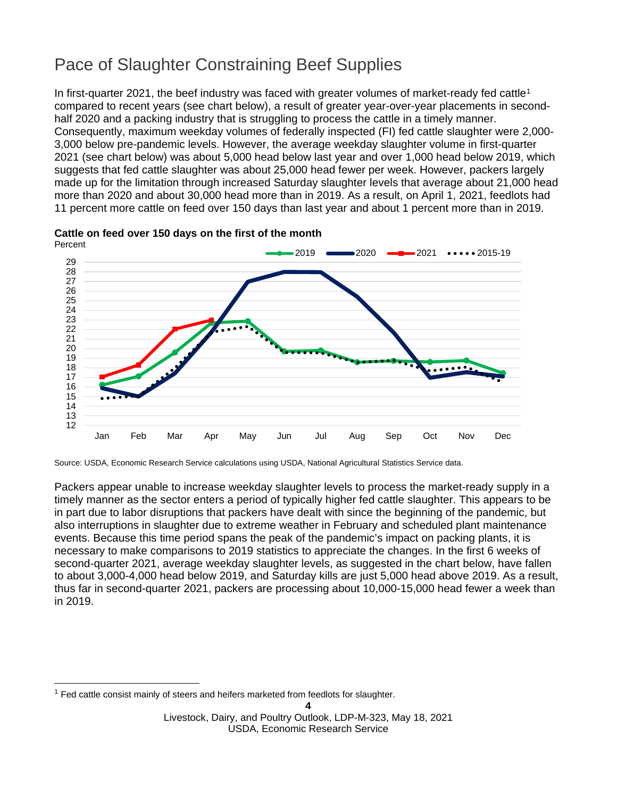# Pace of Slaughter Constraining Beef Supplies

In first-quarter 202[1](#page-3-0), the beef industry was faced with greater volumes of market-ready fed cattle<sup>1</sup> compared to recent years (see chart below), a result of greater year-over-year placements in secondhalf 2020 and a packing industry that is struggling to process the cattle in a timely manner. Consequently, maximum weekday volumes of federally inspected (FI) fed cattle slaughter were 2,000- 3,000 below pre-pandemic levels. However, the average weekday slaughter volume in first-quarter 2021 (see chart below) was about 5,000 head below last year and over 1,000 head below 2019, which suggests that fed cattle slaughter was about 25,000 head fewer per week. However, packers largely made up for the limitation through increased Saturday slaughter levels that average about 21,000 head more than 2020 and about 30,000 head more than in 2019. As a result, on April 1, 2021, feedlots had 11 percent more cattle on feed over 150 days than last year and about 1 percent more than in 2019.





Source: USDA, Economic Research Service calculations using USDA, National Agricultural Statistics Service data.

Packers appear unable to increase weekday slaughter levels to process the market-ready supply in a timely manner as the sector enters a period of typically higher fed cattle slaughter. This appears to be in part due to labor disruptions that packers have dealt with since the beginning of the pandemic, but also interruptions in slaughter due to extreme weather in February and scheduled plant maintenance events. Because this time period spans the peak of the pandemic's impact on packing plants, it is necessary to make comparisons to 2019 statistics to appreciate the changes. In the first 6 weeks of second-quarter 2021, average weekday slaughter levels, as suggested in the chart below, have fallen to about 3,000-4,000 head below 2019, and Saturday kills are just 5,000 head above 2019. As a result, thus far in second-quarter 2021, packers are processing about 10,000-15,000 head fewer a week than in 2019.

<span id="page-3-0"></span> $<sup>1</sup>$  Fed cattle consist mainly of steers and heifers marketed from feedlots for slaughter.</sup>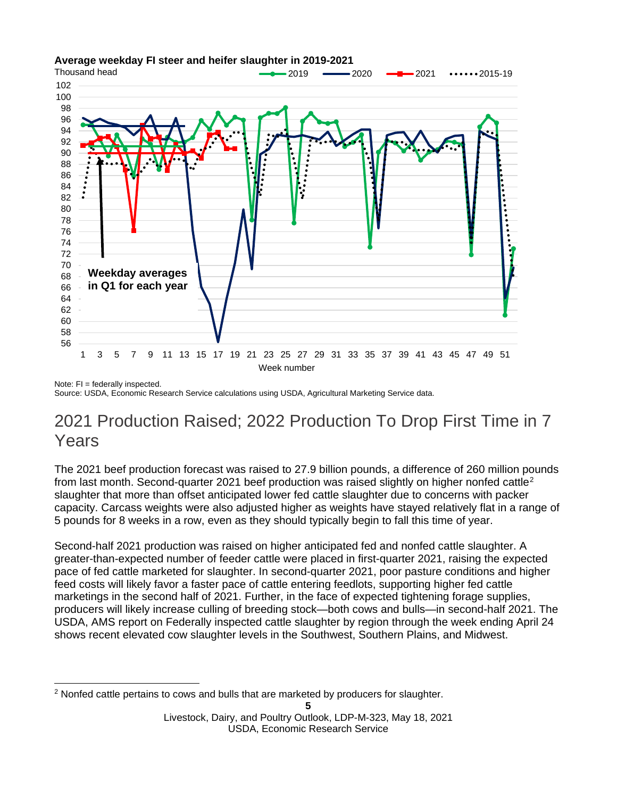

### **Average weekday FI steer and heifer slaughter in 2019-2021**

Note: FI = federally inspected. Source: USDA, Economic Research Service calculations using USDA, Agricultural Marketing Service data.

## 2021 Production Raised; 2022 Production To Drop First Time in 7 Years

The 2021 beef production forecast was raised to 27.9 billion pounds, a difference of 260 million pounds from last month. Second-quarter [2](#page-4-0)021 beef production was raised slightly on higher nonfed cattle<sup>2</sup> slaughter that more than offset anticipated lower fed cattle slaughter due to concerns with packer capacity. Carcass weights were also adjusted higher as weights have stayed relatively flat in a range of 5 pounds for 8 weeks in a row, even as they should typically begin to fall this time of year.

Second-half 2021 production was raised on higher anticipated fed and nonfed cattle slaughter. A greater-than-expected number of feeder cattle were placed in first-quarter 2021, raising the expected pace of fed cattle marketed for slaughter. In second-quarter 2021, poor pasture conditions and higher feed costs will likely favor a faster pace of cattle entering feedlots, supporting higher fed cattle marketings in the second half of 2021. Further, in the face of expected tightening forage supplies, producers will likely increase culling of breeding stock—both cows and bulls—in second-half 2021. The USDA, AMS report on Federally inspected cattle slaughter by region through the week ending April 24 shows recent elevated cow slaughter levels in the Southwest, Southern Plains, and Midwest.

<span id="page-4-0"></span><sup>&</sup>lt;sup>2</sup> Nonfed cattle pertains to cows and bulls that are marketed by producers for slaughter.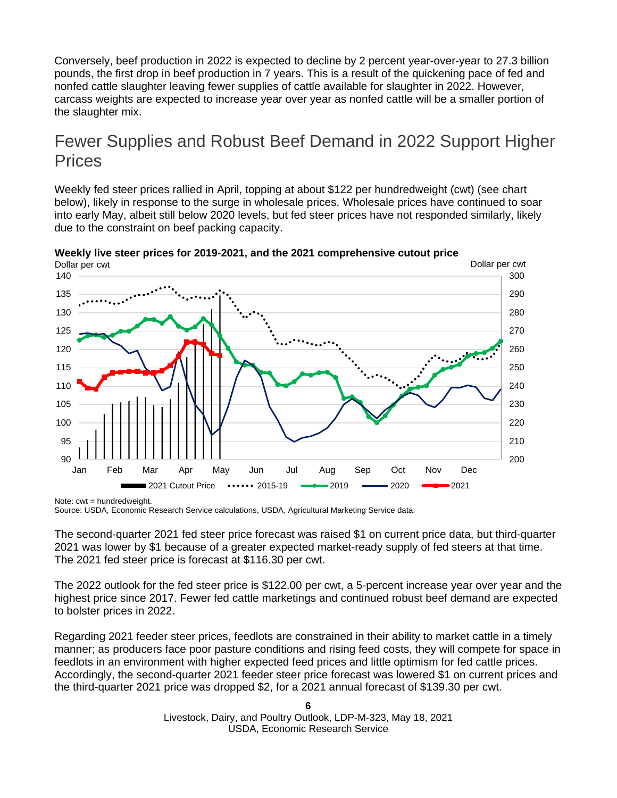Conversely, beef production in 2022 is expected to decline by 2 percent year-over-year to 27.3 billion pounds, the first drop in beef production in 7 years. This is a result of the quickening pace of fed and nonfed cattle slaughter leaving fewer supplies of cattle available for slaughter in 2022. However, carcass weights are expected to increase year over year as nonfed cattle will be a smaller portion of the slaughter mix.

## Fewer Supplies and Robust Beef Demand in 2022 Support Higher **Prices**

Weekly fed steer prices rallied in April, topping at about \$122 per hundredweight (cwt) (see chart below), likely in response to the surge in wholesale prices. Wholesale prices have continued to soar into early May, albeit still below 2020 levels, but fed steer prices have not responded similarly, likely due to the constraint on beef packing capacity.



**Weekly live steer prices for 2019-2021, and the 2021 comprehensive cutout price**

Note:  $cut = hundredweight$ . Source: USDA, Economic Research Service calculations, USDA, Agricultural Marketing Service data.

The second-quarter 2021 fed steer price forecast was raised \$1 on current price data, but third-quarter 2021 was lower by \$1 because of a greater expected market-ready supply of fed steers at that time. The 2021 fed steer price is forecast at \$116.30 per cwt.

The 2022 outlook for the fed steer price is \$122.00 per cwt, a 5-percent increase year over year and the highest price since 2017. Fewer fed cattle marketings and continued robust beef demand are expected to bolster prices in 2022.

Regarding 2021 feeder steer prices, feedlots are constrained in their ability to market cattle in a timely manner; as producers face poor pasture conditions and rising feed costs, they will compete for space in feedlots in an environment with higher expected feed prices and little optimism for fed cattle prices. Accordingly, the second-quarter 2021 feeder steer price forecast was lowered \$1 on current prices and the third-quarter 2021 price was dropped \$2, for a 2021 annual forecast of \$139.30 per cwt.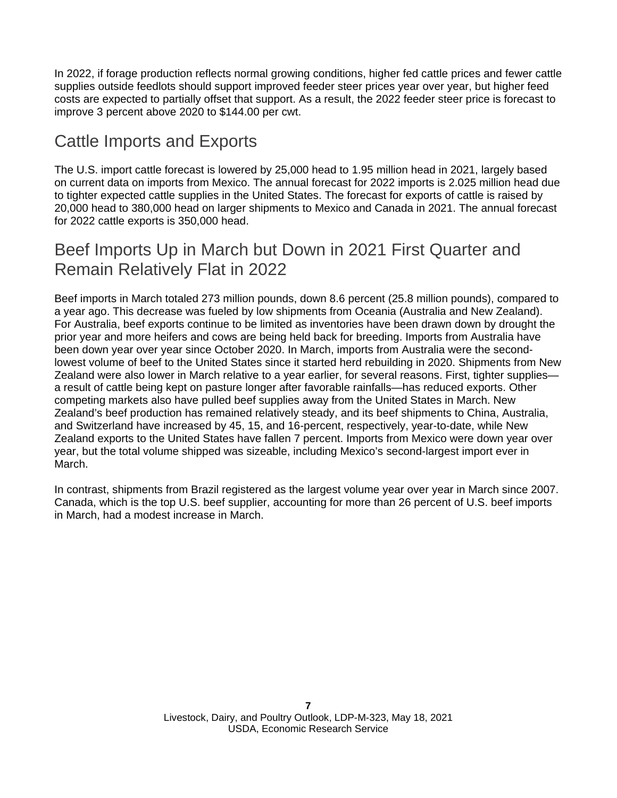In 2022, if forage production reflects normal growing conditions, higher fed cattle prices and fewer cattle supplies outside feedlots should support improved feeder steer prices year over year, but higher feed costs are expected to partially offset that support. As a result, the 2022 feeder steer price is forecast to improve 3 percent above 2020 to \$144.00 per cwt.

## Cattle Imports and Exports

The U.S. import cattle forecast is lowered by 25,000 head to 1.95 million head in 2021, largely based on current data on imports from Mexico. The annual forecast for 2022 imports is 2.025 million head due to tighter expected cattle supplies in the United States. The forecast for exports of cattle is raised by 20,000 head to 380,000 head on larger shipments to Mexico and Canada in 2021. The annual forecast for 2022 cattle exports is 350,000 head.

## Beef Imports Up in March but Down in 2021 First Quarter and Remain Relatively Flat in 2022

Beef imports in March totaled 273 million pounds, down 8.6 percent (25.8 million pounds), compared to a year ago. This decrease was fueled by low shipments from Oceania (Australia and New Zealand). For Australia, beef exports continue to be limited as inventories have been drawn down by drought the prior year and more heifers and cows are being held back for breeding. Imports from Australia have been down year over year since October 2020. In March, imports from Australia were the secondlowest volume of beef to the United States since it started herd rebuilding in 2020. Shipments from New Zealand were also lower in March relative to a year earlier, for several reasons. First, tighter supplies a result of cattle being kept on pasture longer after favorable rainfalls—has reduced exports. Other competing markets also have pulled beef supplies away from the United States in March. New Zealand's beef production has remained relatively steady, and its beef shipments to China, Australia, and Switzerland have increased by 45, 15, and 16-percent, respectively, year-to-date, while New Zealand exports to the United States have fallen 7 percent. Imports from Mexico were down year over year, but the total volume shipped was sizeable, including Mexico's second-largest import ever in March.

In contrast, shipments from Brazil registered as the largest volume year over year in March since 2007. Canada, which is the top U.S. beef supplier, accounting for more than 26 percent of U.S. beef imports in March, had a modest increase in March.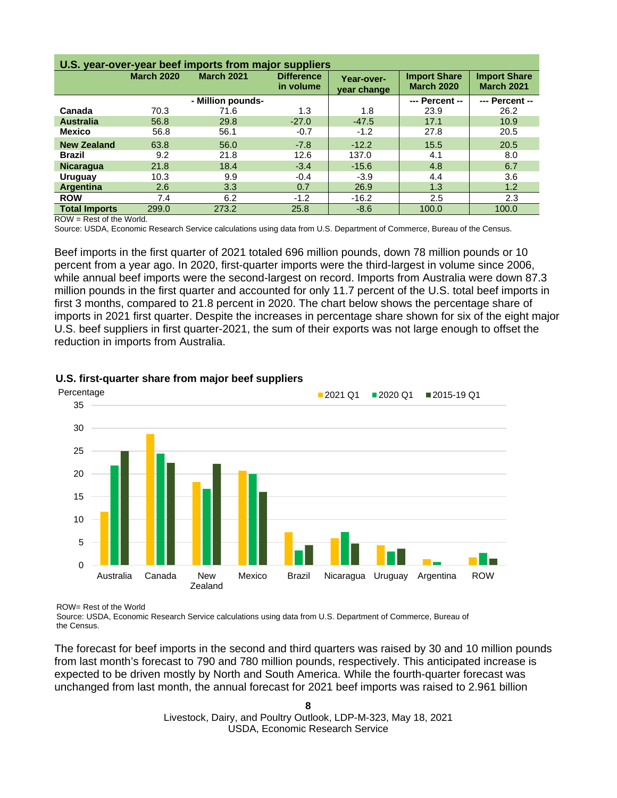| U.S. year-over-year beef imports from major suppliers |                   |                   |                                |                           |                                          |                                          |  |  |
|-------------------------------------------------------|-------------------|-------------------|--------------------------------|---------------------------|------------------------------------------|------------------------------------------|--|--|
|                                                       | <b>March 2020</b> | <b>March 2021</b> | <b>Difference</b><br>in volume | Year-over-<br>year change | <b>Import Share</b><br><b>March 2020</b> | <b>Import Share</b><br><b>March 2021</b> |  |  |
|                                                       |                   | - Million pounds- |                                |                           | --- Percent --                           | --- Percent --                           |  |  |
| Canada                                                | 70.3              | 71.6              | 1.3                            | 1.8                       | 23.9                                     | 26.2                                     |  |  |
| <b>Australia</b>                                      | 56.8              | 29.8              | $-27.0$                        | $-47.5$                   | 17.1                                     | 10.9                                     |  |  |
| <b>Mexico</b>                                         | 56.8              | 56.1              | $-0.7$                         | $-1.2$                    | 27.8                                     | 20.5                                     |  |  |
| <b>New Zealand</b>                                    | 63.8              | 56.0              | $-7.8$                         | $-12.2$                   | 15.5                                     | 20.5                                     |  |  |
| <b>Brazil</b>                                         | 9.2               | 21.8              | 12.6                           | 137.0                     | 4.1                                      | 8.0                                      |  |  |
| <b>Nicaragua</b>                                      | 21.8              | 18.4              | $-3.4$                         | $-15.6$                   | 4.8                                      | 6.7                                      |  |  |
| Uruguay                                               | 10.3              | 9.9               | $-0.4$                         | $-3.9$                    | 4.4                                      | 3.6                                      |  |  |
| Argentina                                             | 2.6               | 3.3               | 0.7                            | 26.9                      | 1.3                                      | 1.2                                      |  |  |
| <b>ROW</b>                                            | 7.4               | 6.2               | $-1.2$                         | $-16.2$                   | 2.5                                      | 2.3                                      |  |  |
| <b>Total Imports</b>                                  | 299.0             | 273.2             | 25.8                           | $-8.6$                    | 100.0                                    | 100.0                                    |  |  |

 $ROW = Rest$  of the World.

Source: USDA, Economic Research Service calculations using data from U.S. Department of Commerce, Bureau of the Census.

Beef imports in the first quarter of 2021 totaled 696 million pounds, down 78 million pounds or 10 percent from a year ago. In 2020, first-quarter imports were the third-largest in volume since 2006, while annual beef imports were the second-largest on record. Imports from Australia were down 87.3 million pounds in the first quarter and accounted for only 11.7 percent of the U.S. total beef imports in first 3 months, compared to 21.8 percent in 2020. The chart below shows the percentage share of imports in 2021 first quarter. Despite the increases in percentage share shown for six of the eight major U.S. beef suppliers in first quarter-2021, the sum of their exports was not large enough to offset the reduction in imports from Australia.



#### **U.S. first-quarter share from major beef suppliers**

ROW= Rest of the World

Source: USDA, Economic Research Service calculations using data from U.S. Department of Commerce, Bureau of the Census.

The forecast for beef imports in the second and third quarters was raised by 30 and 10 million pounds from last month's forecast to 790 and 780 million pounds, respectively. This anticipated increase is expected to be driven mostly by North and South America. While the fourth-quarter forecast was unchanged from last month, the annual forecast for 2021 beef imports was raised to 2.961 billion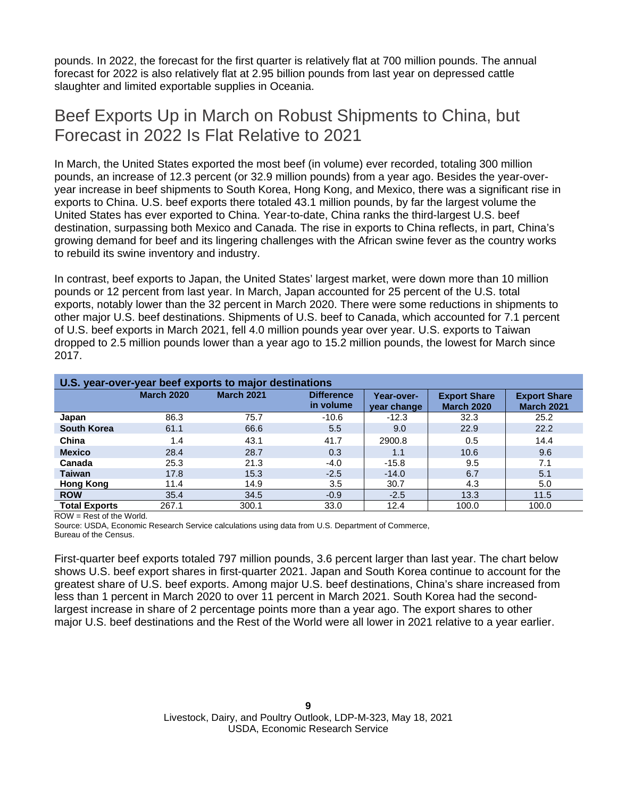pounds. In 2022, the forecast for the first quarter is relatively flat at 700 million pounds. The annual forecast for 2022 is also relatively flat at 2.95 billion pounds from last year on depressed cattle slaughter and limited exportable supplies in Oceania.

## Beef Exports Up in March on Robust Shipments to China, but Forecast in 2022 Is Flat Relative to 2021

In March, the United States exported the most beef (in volume) ever recorded, totaling 300 million pounds, an increase of 12.3 percent (or 32.9 million pounds) from a year ago. Besides the year-overyear increase in beef shipments to South Korea, Hong Kong, and Mexico, there was a significant rise in exports to China. U.S. beef exports there totaled 43.1 million pounds, by far the largest volume the United States has ever exported to China. Year-to-date, China ranks the third-largest U.S. beef destination, surpassing both Mexico and Canada. The rise in exports to China reflects, in part, China's growing demand for beef and its lingering challenges with the African swine fever as the country works to rebuild its swine inventory and industry.

In contrast, beef exports to Japan, the United States' largest market, were down more than 10 million pounds or 12 percent from last year. In March, Japan accounted for 25 percent of the U.S. total exports, notably lower than the 32 percent in March 2020. There were some reductions in shipments to other major U.S. beef destinations. Shipments of U.S. beef to Canada, which accounted for 7.1 percent of U.S. beef exports in March 2021, fell 4.0 million pounds year over year. U.S. exports to Taiwan dropped to 2.5 million pounds lower than a year ago to 15.2 million pounds, the lowest for March since 2017.

|                      | U.S. year-over-year beef exports to major destinations |                   |                                |                                  |                                          |                                          |  |  |  |
|----------------------|--------------------------------------------------------|-------------------|--------------------------------|----------------------------------|------------------------------------------|------------------------------------------|--|--|--|
|                      | <b>March 2020</b>                                      | <b>March 2021</b> | <b>Difference</b><br>in volume | <b>Year-over-</b><br>year change | <b>Export Share</b><br><b>March 2020</b> | <b>Export Share</b><br><b>March 2021</b> |  |  |  |
| Japan                | 86.3                                                   | 75.7              | $-10.6$                        | $-12.3$                          | 32.3                                     | 25.2                                     |  |  |  |
| <b>South Korea</b>   | 61.1                                                   | 66.6              | 5.5                            | 9.0                              | 22.9                                     | 22.2                                     |  |  |  |
| China                | 1.4                                                    | 43.1              | 41.7                           | 2900.8                           | 0.5                                      | 14.4                                     |  |  |  |
| <b>Mexico</b>        | 28.4                                                   | 28.7              | 0.3                            | 1.1                              | 10.6                                     | 9.6                                      |  |  |  |
| Canada               | 25.3                                                   | 21.3              | $-4.0$                         | $-15.8$                          | 9.5                                      | 7.1                                      |  |  |  |
| <b>Taiwan</b>        | 17.8                                                   | 15.3              | $-2.5$                         | $-14.0$                          | 6.7                                      | 5.1                                      |  |  |  |
| <b>Hong Kong</b>     | 11.4                                                   | 14.9              | 3.5                            | 30.7                             | 4.3                                      | 5.0                                      |  |  |  |
| <b>ROW</b>           | 35.4                                                   | 34.5              | $-0.9$                         | $-2.5$                           | 13.3                                     | 11.5                                     |  |  |  |
| <b>Total Exports</b> | 267.1                                                  | 300.1             | 33.0                           | 12.4                             | 100.0                                    | 100.0                                    |  |  |  |

ROW = Rest of the World.

Source: USDA, Economic Research Service calculations using data from U.S. Department of Commerce, Bureau of the Census.

First-quarter beef exports totaled 797 million pounds, 3.6 percent larger than last year. The chart below shows U.S. beef export shares in first-quarter 2021. Japan and South Korea continue to account for the greatest share of U.S. beef exports. Among major U.S. beef destinations, China's share increased from less than 1 percent in March 2020 to over 11 percent in March 2021. South Korea had the secondlargest increase in share of 2 percentage points more than a year ago. The export shares to other major U.S. beef destinations and the Rest of the World were all lower in 2021 relative to a year earlier.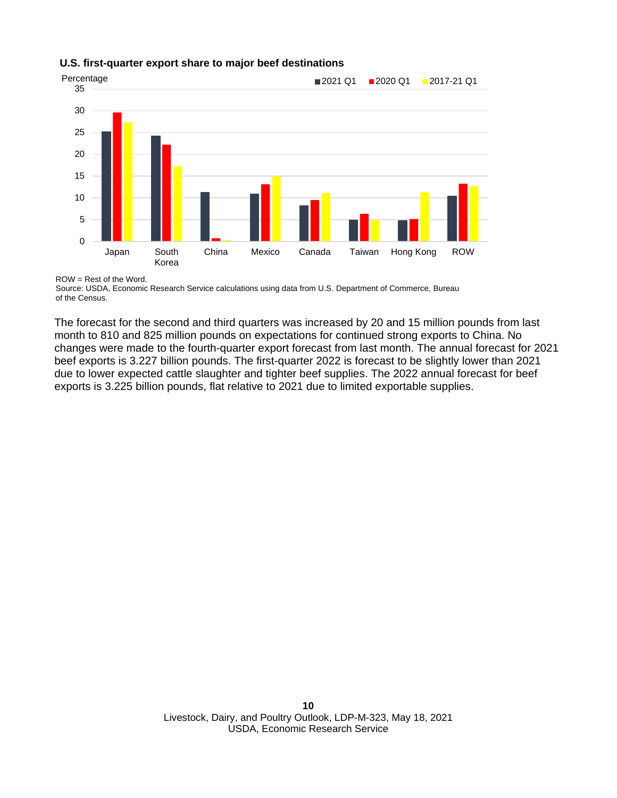#### **U.S. first-quarter export share to major beef destinations**



ROW = Rest of the Word.

Source: USDA, Economic Research Service calculations using data from U.S. Department of Commerce, Bureau of the Census.

The forecast for the second and third quarters was increased by 20 and 15 million pounds from last month to 810 and 825 million pounds on expectations for continued strong exports to China. No changes were made to the fourth-quarter export forecast from last month. The annual forecast for 2021 beef exports is 3.227 billion pounds. The first-quarter 2022 is forecast to be slightly lower than 2021 due to lower expected cattle slaughter and tighter beef supplies. The 2022 annual forecast for beef exports is 3.225 billion pounds, flat relative to 2021 due to limited exportable supplies.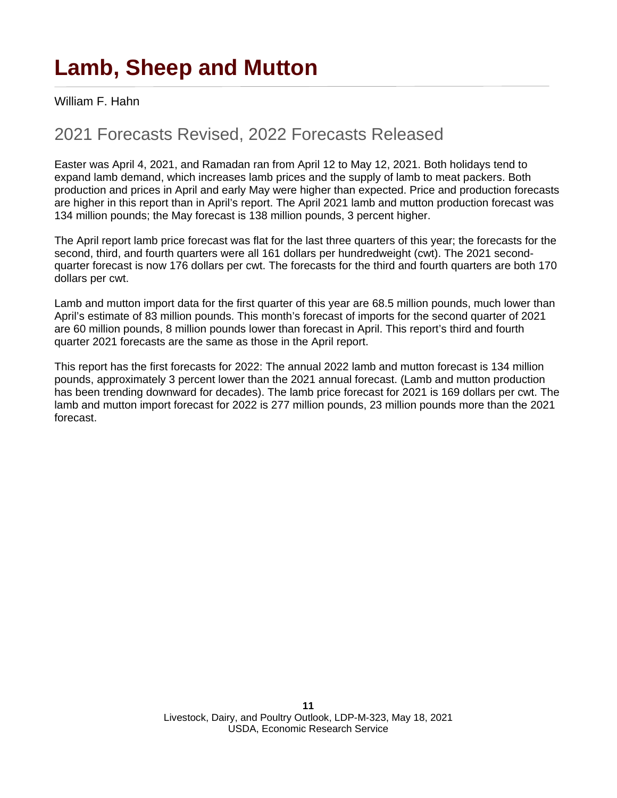# **Lamb, Sheep and Mutton**

William F. Hahn

## 2021 Forecasts Revised, 2022 Forecasts Released

Easter was April 4, 2021, and Ramadan ran from April 12 to May 12, 2021. Both holidays tend to expand lamb demand, which increases lamb prices and the supply of lamb to meat packers. Both production and prices in April and early May were higher than expected. Price and production forecasts are higher in this report than in April's report. The April 2021 lamb and mutton production forecast was 134 million pounds; the May forecast is 138 million pounds, 3 percent higher.

The April report lamb price forecast was flat for the last three quarters of this year; the forecasts for the second, third, and fourth quarters were all 161 dollars per hundredweight (cwt). The 2021 secondquarter forecast is now 176 dollars per cwt. The forecasts for the third and fourth quarters are both 170 dollars per cwt.

Lamb and mutton import data for the first quarter of this year are 68.5 million pounds, much lower than April's estimate of 83 million pounds. This month's forecast of imports for the second quarter of 2021 are 60 million pounds, 8 million pounds lower than forecast in April. This report's third and fourth quarter 2021 forecasts are the same as those in the April report.

This report has the first forecasts for 2022: The annual 2022 lamb and mutton forecast is 134 million pounds, approximately 3 percent lower than the 2021 annual forecast. (Lamb and mutton production has been trending downward for decades). The lamb price forecast for 2021 is 169 dollars per cwt. The lamb and mutton import forecast for 2022 is 277 million pounds, 23 million pounds more than the 2021 forecast.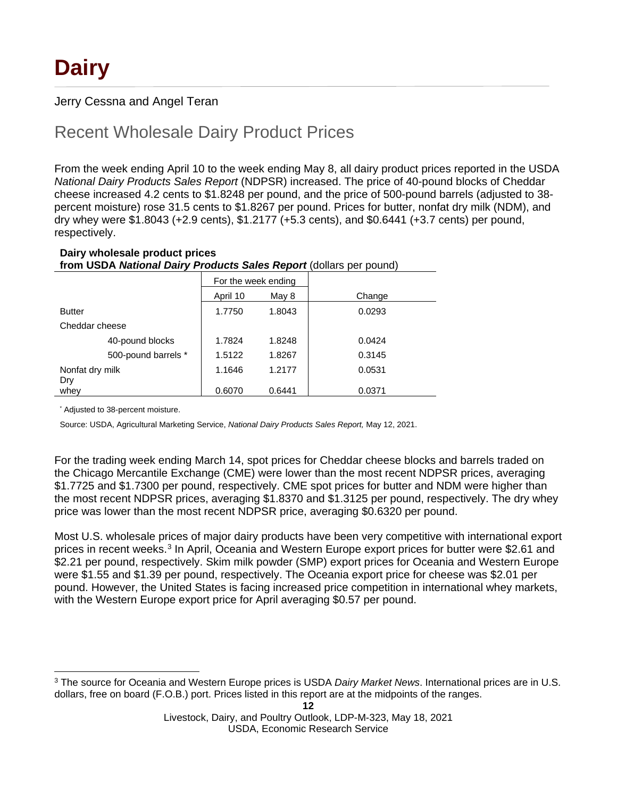## Jerry Cessna and Angel Teran

## Recent Wholesale Dairy Product Prices

From the week ending April 10 to the week ending May 8, all dairy product prices reported in the USDA *National Dairy Products Sales Report* (NDPSR) increased. The price of 40-pound blocks of Cheddar cheese increased 4.2 cents to \$1.8248 per pound, and the price of 500-pound barrels (adjusted to 38 percent moisture) rose 31.5 cents to \$1.8267 per pound. Prices for butter, nonfat dry milk (NDM), and dry whey were \$1.8043 (+2.9 cents), \$1.2177 (+5.3 cents), and \$0.6441 (+3.7 cents) per pound, respectively.

### **Dairy wholesale product prices from USDA** *National Dairy Products Sales Report* (dollars per pound)

|                        |                     | For the week ending |        |        |
|------------------------|---------------------|---------------------|--------|--------|
|                        |                     | April 10            | May 8  | Change |
| <b>Butter</b>          |                     | 1.7750              | 1.8043 | 0.0293 |
| Cheddar cheese         |                     |                     |        |        |
|                        | 40-pound blocks     | 1.7824              | 1.8248 | 0.0424 |
|                        | 500-pound barrels * | 1.5122              | 1.8267 | 0.3145 |
| Nonfat dry milk<br>Dry |                     | 1.1646              | 1.2177 | 0.0531 |
| whey                   |                     | 0.6070              | 0.6441 | 0.0371 |

\* Adjusted to 38-percent moisture.

Source: USDA, Agricultural Marketing Service, *National Dairy Products Sales Report,* May 12, 2021.

For the trading week ending March 14, spot prices for Cheddar cheese blocks and barrels traded on the Chicago Mercantile Exchange (CME) were lower than the most recent NDPSR prices, averaging \$1.7725 and \$1.7300 per pound, respectively. CME spot prices for butter and NDM were higher than the most recent NDPSR prices, averaging \$1.8370 and \$1.3125 per pound, respectively. The dry whey price was lower than the most recent NDPSR price, averaging \$0.6320 per pound.

Most U.S. wholesale prices of major dairy products have been very competitive with international export prices in recent weeks.<sup>[3](#page-11-0)</sup> In April, Oceania and Western Europe export prices for butter were \$2.61 and \$2.21 per pound, respectively. Skim milk powder (SMP) export prices for Oceania and Western Europe were \$1.55 and \$1.39 per pound, respectively. The Oceania export price for cheese was \$2.01 per pound. However, the United States is facing increased price competition in international whey markets, with the Western Europe export price for April averaging \$0.57 per pound.

<span id="page-11-0"></span><sup>3</sup> The source for Oceania and Western Europe prices is USDA *Dairy Market News*. International prices are in U.S. dollars, free on board (F.O.B.) port. Prices listed in this report are at the midpoints of the ranges.

Livestock, Dairy, and Poultry Outlook, LDP-M-323, May 18, 2021 USDA, Economic Research Service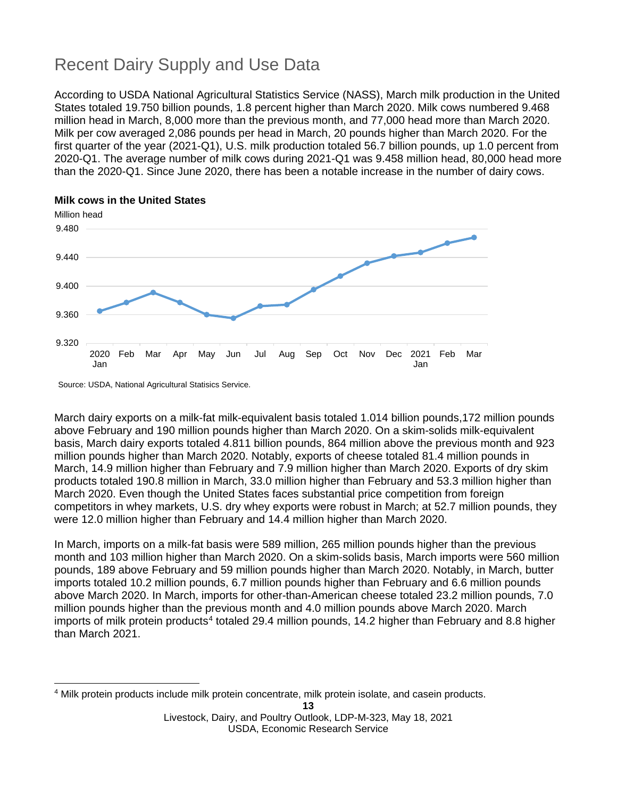# Recent Dairy Supply and Use Data

According to USDA National Agricultural Statistics Service (NASS), March milk production in the United States totaled 19.750 billion pounds, 1.8 percent higher than March 2020. Milk cows numbered 9.468 million head in March, 8,000 more than the previous month, and 77,000 head more than March 2020. Milk per cow averaged 2,086 pounds per head in March, 20 pounds higher than March 2020. For the first quarter of the year (2021-Q1), U.S. milk production totaled 56.7 billion pounds, up 1.0 percent from 2020-Q1. The average number of milk cows during 2021-Q1 was 9.458 million head, 80,000 head more than the 2020-Q1. Since June 2020, there has been a notable increase in the number of dairy cows.



Source: USDA, National Agricultural Statisics Service.

March dairy exports on a milk-fat milk-equivalent basis totaled 1.014 billion pounds,172 million pounds above February and 190 million pounds higher than March 2020. On a skim-solids milk-equivalent basis, March dairy exports totaled 4.811 billion pounds, 864 million above the previous month and 923 million pounds higher than March 2020. Notably, exports of cheese totaled 81.4 million pounds in March, 14.9 million higher than February and 7.9 million higher than March 2020. Exports of dry skim products totaled 190.8 million in March, 33.0 million higher than February and 53.3 million higher than March 2020. Even though the United States faces substantial price competition from foreign competitors in whey markets, U.S. dry whey exports were robust in March; at 52.7 million pounds, they were 12.0 million higher than February and 14.4 million higher than March 2020.

In March, imports on a milk-fat basis were 589 million, 265 million pounds higher than the previous month and 103 million higher than March 2020. On a skim-solids basis, March imports were 560 million pounds, 189 above February and 59 million pounds higher than March 2020. Notably, in March, butter imports totaled 10.2 million pounds, 6.7 million pounds higher than February and 6.6 million pounds above March 2020. In March, imports for other-than-American cheese totaled 23.2 million pounds, 7.0 million pounds higher than the previous month and 4.0 million pounds above March 2020. March imports of milk protein products<sup>[4](#page-12-0)</sup> totaled 29.4 million pounds, 14.2 higher than February and 8.8 higher than March 2021.

<span id="page-12-0"></span><sup>4</sup> Milk protein products include milk protein concentrate, milk protein isolate, and casein products.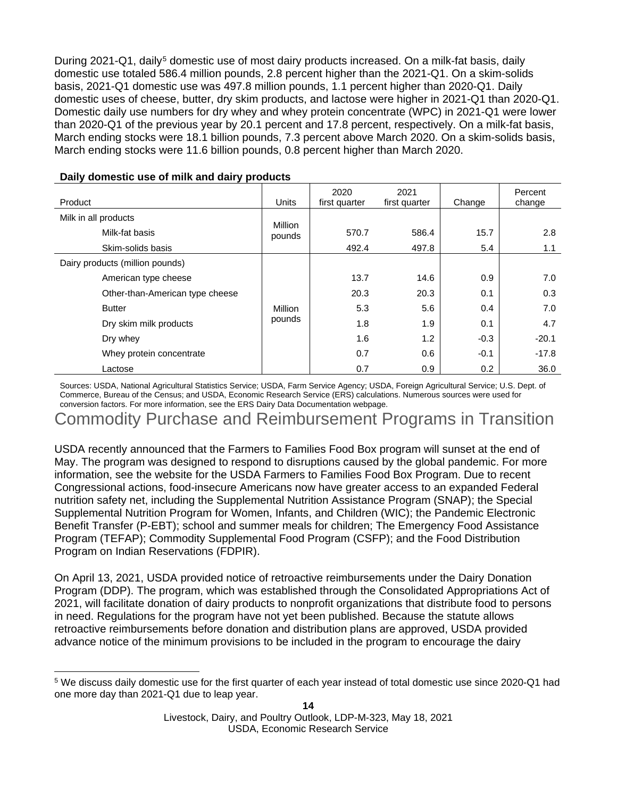During 2021-Q1, daily<sup>[5](#page-13-0)</sup> domestic use of most dairy products increased. On a milk-fat basis, daily domestic use totaled 586.4 million pounds, 2.8 percent higher than the 2021-Q1. On a skim-solids basis, 2021-Q1 domestic use was 497.8 million pounds, 1.1 percent higher than 2020-Q1. Daily domestic uses of cheese, butter, dry skim products, and lactose were higher in 2021-Q1 than 2020-Q1. Domestic daily use numbers for dry whey and whey protein concentrate (WPC) in 2021-Q1 were lower than 2020-Q1 of the previous year by 20.1 percent and 17.8 percent, respectively. On a milk-fat basis, March ending stocks were 18.1 billion pounds, 7.3 percent above March 2020. On a skim-solids basis, March ending stocks were 11.6 billion pounds, 0.8 percent higher than March 2020.

| Product                         | Units             | 2020<br>first quarter | 2021<br>first quarter | Change | Percent<br>change |
|---------------------------------|-------------------|-----------------------|-----------------------|--------|-------------------|
| Milk in all products            |                   |                       |                       |        |                   |
| Milk-fat basis                  | Million<br>pounds | 570.7                 | 586.4                 | 15.7   | 2.8               |
| Skim-solids basis               |                   | 492.4                 | 497.8                 | 5.4    | 1.1               |
| Dairy products (million pounds) |                   |                       |                       |        |                   |
| American type cheese            |                   | 13.7                  | 14.6                  | 0.9    | 7.0               |
| Other-than-American type cheese | Million<br>pounds | 20.3                  | 20.3                  | 0.1    | 0.3               |
| <b>Butter</b>                   |                   | 5.3                   | 5.6                   | 0.4    | 7.0               |
| Dry skim milk products          |                   | 1.8                   | 1.9                   | 0.1    | 4.7               |
| Dry whey                        |                   | 1.6                   | 1.2                   | $-0.3$ | $-20.1$           |
| Whey protein concentrate        |                   | 0.7                   | 0.6                   | $-0.1$ | $-17.8$           |
| Lactose                         |                   | 0.7                   | 0.9                   | 0.2    | 36.0              |

#### **Daily domestic use of milk and dairy products**

Sources: USDA, National Agricultural Statistics Service; USDA, Farm Service Agency; USDA, Foreign Agricultural Service; U.S. Dept. of Commerce, Bureau of the Census; and USDA, Economic Research Service (ERS) calculations. Numerous sources were used for conversion factors. For more information, see the ERS Dairy Data Documentation webpage.

Commodity Purchase and Reimbursement Programs in Transition

USDA recently announced that the Farmers to Families Food Box program will sunset at the end of May. The program was designed to respond to disruptions caused by the global pandemic. For more information, see the website for the USDA Farmers to Families Food Box Program. Due to recent Congressional actions, food-insecure Americans now have greater access to an expanded Federal nutrition safety net, including the Supplemental Nutrition Assistance Program (SNAP); the Special Supplemental Nutrition Program for Women, Infants, and Children (WIC); the Pandemic Electronic Benefit Transfer (P-EBT); school and summer meals for children; The Emergency Food Assistance Program (TEFAP); Commodity Supplemental Food Program (CSFP); and the Food Distribution Program on Indian Reservations (FDPIR).

On April 13, 2021, USDA provided notice of retroactive reimbursements under the Dairy Donation Program (DDP). The program, which was established through the Consolidated Appropriations Act of 2021, will facilitate donation of dairy products to nonprofit organizations that distribute food to persons in need. Regulations for the program have not yet been published. Because the statute allows retroactive reimbursements before donation and distribution plans are approved, USDA provided advance notice of the minimum provisions to be included in the program to encourage the dairy

<span id="page-13-0"></span><sup>5</sup> We discuss daily domestic use for the first quarter of each year instead of total domestic use since 2020-Q1 had one more day than 2021-Q1 due to leap year.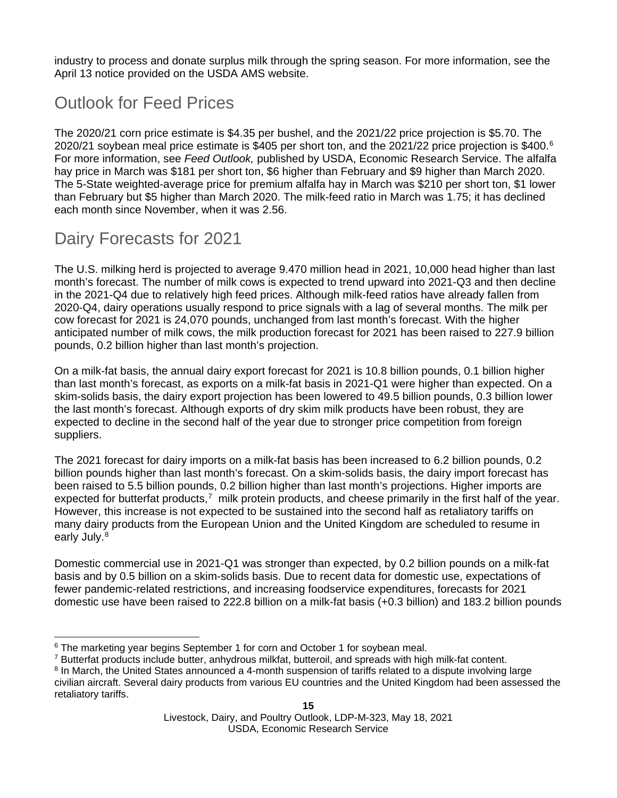industry to process and donate surplus milk through the spring season. For more information, see the April 13 notice provided on the USDA AMS website.

## Outlook for Feed Prices

The 2020/21 corn price estimate is \$4.35 per bushel, and the 2021/22 price projection is \$5.70. The 2020/21 soybean meal price estimate is \$405 per short ton, and the 2021/22 price projection is \$400.[6](#page-14-0) For more information, see *Feed Outlook,* published by USDA, Economic Research Service. The alfalfa hay price in March was \$181 per short ton, \$6 higher than February and \$9 higher than March 2020. The 5-State weighted-average price for premium alfalfa hay in March was \$210 per short ton, \$1 lower than February but \$5 higher than March 2020. The milk-feed ratio in March was 1.75; it has declined each month since November, when it was 2.56.

## Dairy Forecasts for 2021

The U.S. milking herd is projected to average 9.470 million head in 2021, 10,000 head higher than last month's forecast. The number of milk cows is expected to trend upward into 2021-Q3 and then decline in the 2021-Q4 due to relatively high feed prices. Although milk-feed ratios have already fallen from 2020-Q4, dairy operations usually respond to price signals with a lag of several months. The milk per cow forecast for 2021 is 24,070 pounds, unchanged from last month's forecast. With the higher anticipated number of milk cows, the milk production forecast for 2021 has been raised to 227.9 billion pounds, 0.2 billion higher than last month's projection.

On a milk-fat basis, the annual dairy export forecast for 2021 is 10.8 billion pounds, 0.1 billion higher than last month's forecast, as exports on a milk-fat basis in 2021-Q1 were higher than expected. On a skim-solids basis, the dairy export projection has been lowered to 49.5 billion pounds, 0.3 billion lower the last month's forecast. Although exports of dry skim milk products have been robust, they are expected to decline in the second half of the year due to stronger price competition from foreign suppliers.

The 2021 forecast for dairy imports on a milk-fat basis has been increased to 6.2 billion pounds, 0.2 billion pounds higher than last month's forecast. On a skim-solids basis, the dairy import forecast has been raised to 5.5 billion pounds, 0.2 billion higher than last month's projections. Higher imports are expected for butterfat products, $7 \text{ milk protein products}$  $7 \text{ milk protein products}$ , and cheese primarily in the first half of the year. However, this increase is not expected to be sustained into the second half as retaliatory tariffs on many dairy products from the European Union and the United Kingdom are scheduled to resume in early July.<sup>[8](#page-14-2)</sup>

Domestic commercial use in 2021-Q1 was stronger than expected, by 0.2 billion pounds on a milk-fat basis and by 0.5 billion on a skim-solids basis. Due to recent data for domestic use, expectations of fewer pandemic-related restrictions, and increasing foodservice expenditures, forecasts for 2021 domestic use have been raised to 222.8 billion on a milk-fat basis (+0.3 billion) and 183.2 billion pounds

<span id="page-14-1"></span> $7$  Butterfat products include butter, anhydrous milkfat, butteroil, and spreads with high milk-fat content.

<span id="page-14-0"></span><sup>&</sup>lt;sup>6</sup> The marketing year begins September 1 for corn and October 1 for soybean meal.

<span id="page-14-2"></span><sup>&</sup>lt;sup>8</sup> In March, the United States announced a 4-month suspension of tariffs related to a dispute involving large civilian aircraft. Several dairy products from various EU countries and the United Kingdom had been assessed the retaliatory tariffs.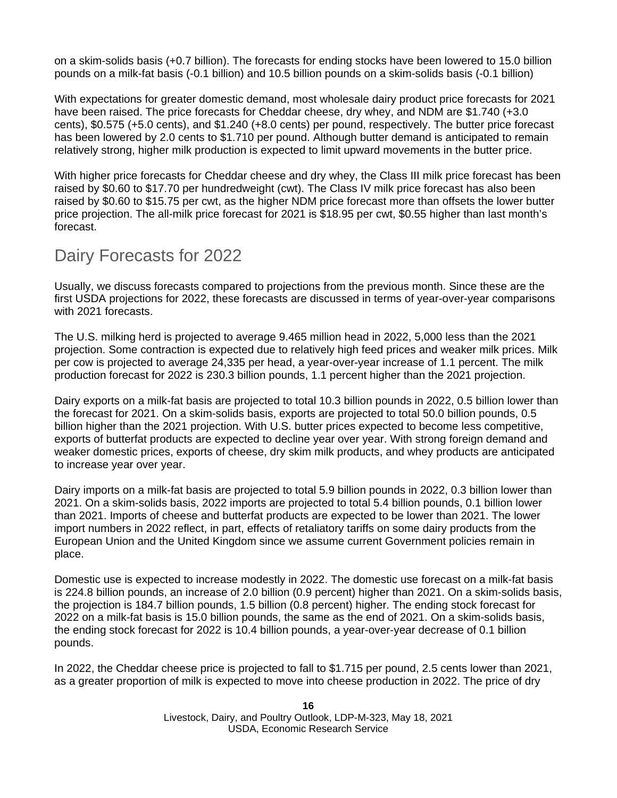on a skim-solids basis (+0.7 billion). The forecasts for ending stocks have been lowered to 15.0 billion pounds on a milk-fat basis (-0.1 billion) and 10.5 billion pounds on a skim-solids basis (-0.1 billion)

With expectations for greater domestic demand, most wholesale dairy product price forecasts for 2021 have been raised. The price forecasts for Cheddar cheese, dry whey, and NDM are \$1.740 (+3.0) cents), \$0.575 (+5.0 cents), and \$1.240 (+8.0 cents) per pound, respectively. The butter price forecast has been lowered by 2.0 cents to \$1.710 per pound. Although butter demand is anticipated to remain relatively strong, higher milk production is expected to limit upward movements in the butter price.

With higher price forecasts for Cheddar cheese and dry whey, the Class III milk price forecast has been raised by \$0.60 to \$17.70 per hundredweight (cwt). The Class IV milk price forecast has also been raised by \$0.60 to \$15.75 per cwt, as the higher NDM price forecast more than offsets the lower butter price projection. The all-milk price forecast for 2021 is \$18.95 per cwt, \$0.55 higher than last month's forecast.

## Dairy Forecasts for 2022

Usually, we discuss forecasts compared to projections from the previous month. Since these are the first USDA projections for 2022, these forecasts are discussed in terms of year-over-year comparisons with 2021 forecasts.

The U.S. milking herd is projected to average 9.465 million head in 2022, 5,000 less than the 2021 projection. Some contraction is expected due to relatively high feed prices and weaker milk prices. Milk per cow is projected to average 24,335 per head, a year-over-year increase of 1.1 percent. The milk production forecast for 2022 is 230.3 billion pounds, 1.1 percent higher than the 2021 projection.

Dairy exports on a milk-fat basis are projected to total 10.3 billion pounds in 2022, 0.5 billion lower than the forecast for 2021. On a skim-solids basis, exports are projected to total 50.0 billion pounds, 0.5 billion higher than the 2021 projection. With U.S. butter prices expected to become less competitive, exports of butterfat products are expected to decline year over year. With strong foreign demand and weaker domestic prices, exports of cheese, dry skim milk products, and whey products are anticipated to increase year over year.

Dairy imports on a milk-fat basis are projected to total 5.9 billion pounds in 2022, 0.3 billion lower than 2021. On a skim-solids basis, 2022 imports are projected to total 5.4 billion pounds, 0.1 billion lower than 2021. Imports of cheese and butterfat products are expected to be lower than 2021. The lower import numbers in 2022 reflect, in part, effects of retaliatory tariffs on some dairy products from the European Union and the United Kingdom since we assume current Government policies remain in place.

Domestic use is expected to increase modestly in 2022. The domestic use forecast on a milk-fat basis is 224.8 billion pounds, an increase of 2.0 billion (0.9 percent) higher than 2021. On a skim-solids basis, the projection is 184.7 billion pounds, 1.5 billion (0.8 percent) higher. The ending stock forecast for 2022 on a milk-fat basis is 15.0 billion pounds, the same as the end of 2021. On a skim-solids basis, the ending stock forecast for 2022 is 10.4 billion pounds, a year-over-year decrease of 0.1 billion pounds.

In 2022, the Cheddar cheese price is projected to fall to \$1.715 per pound, 2.5 cents lower than 2021, as a greater proportion of milk is expected to move into cheese production in 2022. The price of dry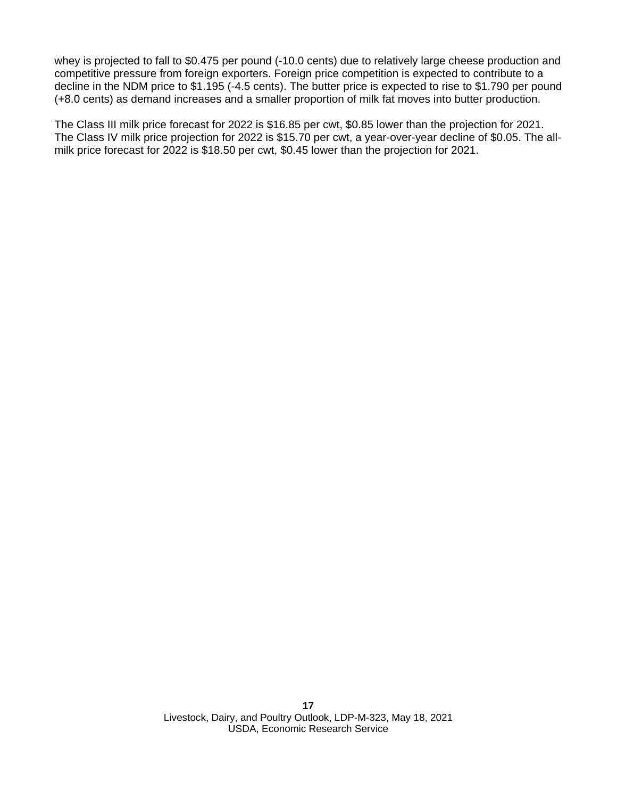whey is projected to fall to \$0.475 per pound (-10.0 cents) due to relatively large cheese production and competitive pressure from foreign exporters. Foreign price competition is expected to contribute to a decline in the NDM price to \$1.195 (-4.5 cents). The butter price is expected to rise to \$1.790 per pound (+8.0 cents) as demand increases and a smaller proportion of milk fat moves into butter production.

The Class III milk price forecast for 2022 is \$16.85 per cwt, \$0.85 lower than the projection for 2021. The Class IV milk price projection for 2022 is \$15.70 per cwt, a year-over-year decline of \$0.05. The allmilk price forecast for 2022 is \$18.50 per cwt, \$0.45 lower than the projection for 2021.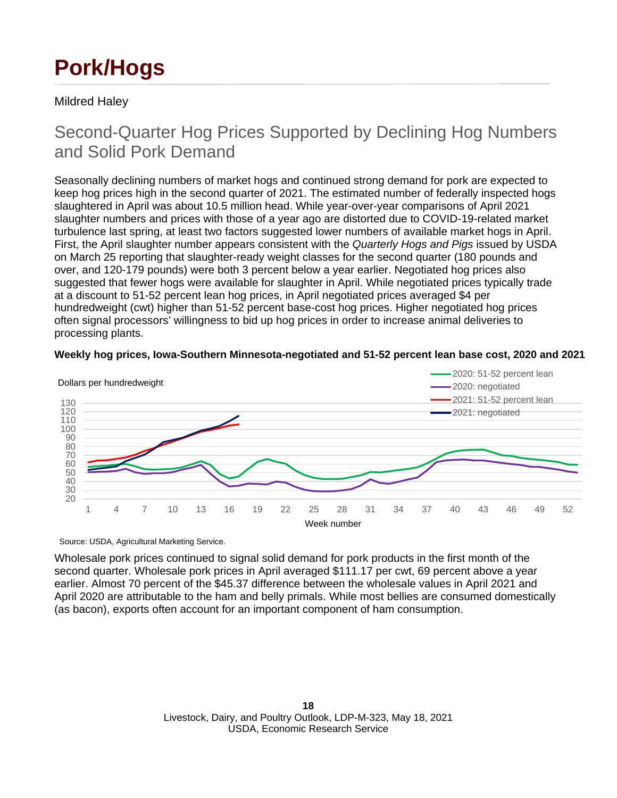# **Pork/Hogs**

## Mildred Haley

## Second-Quarter Hog Prices Supported by Declining Hog Numbers and Solid Pork Demand

Seasonally declining numbers of market hogs and continued strong demand for pork are expected to keep hog prices high in the second quarter of 2021. The estimated number of federally inspected hogs slaughtered in April was about 10.5 million head. While year-over-year comparisons of April 2021 slaughter numbers and prices with those of a year ago are distorted due to COVID-19-related market turbulence last spring, at least two factors suggested lower numbers of available market hogs in April. First, the April slaughter number appears consistent with the *Quarterly Hogs and Pigs* issued by USDA on March 25 reporting that slaughter-ready weight classes for the second quarter (180 pounds and over, and 120-179 pounds) were both 3 percent below a year earlier. Negotiated hog prices also suggested that fewer hogs were available for slaughter in April. While negotiated prices typically trade at a discount to 51-52 percent lean hog prices, in April negotiated prices averaged \$4 per hundredweight (cwt) higher than 51-52 percent base-cost hog prices. Higher negotiated hog prices often signal processors' willingness to bid up hog prices in order to increase animal deliveries to processing plants.





Source: USDA, Agricultural Marketing Service.

Wholesale pork prices continued to signal solid demand for pork products in the first month of the second quarter. Wholesale pork prices in April averaged \$111.17 per cwt, 69 percent above a year earlier. Almost 70 percent of the \$45.37 difference between the wholesale values in April 2021 and April 2020 are attributable to the ham and belly primals. While most bellies are consumed domestically (as bacon), exports often account for an important component of ham consumption.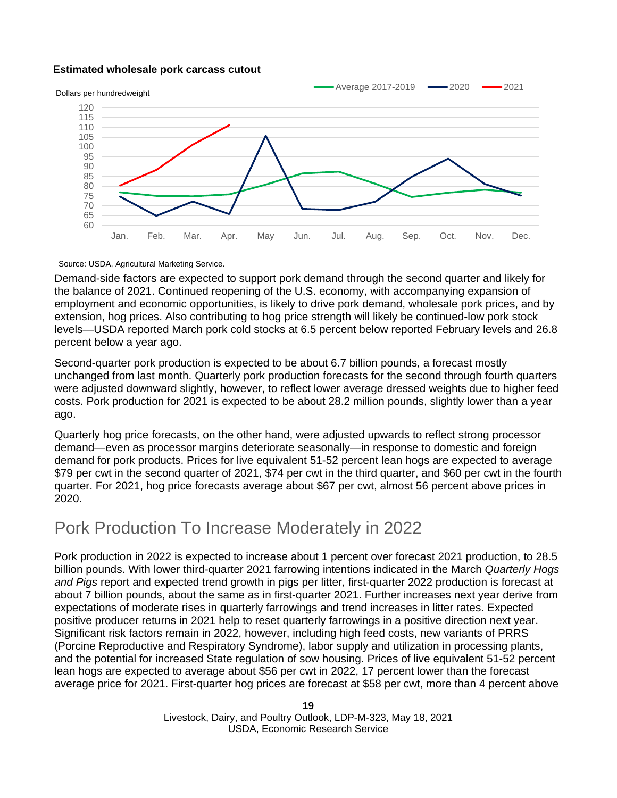#### **Estimated wholesale pork carcass cutout**



Source: USDA, Agricultural Marketing Service.

Demand-side factors are expected to support pork demand through the second quarter and likely for the balance of 2021. Continued reopening of the U.S. economy, with accompanying expansion of employment and economic opportunities, is likely to drive pork demand, wholesale pork prices, and by extension, hog prices. Also contributing to hog price strength will likely be continued-low pork stock levels—USDA reported March pork cold stocks at 6.5 percent below reported February levels and 26.8 percent below a year ago.

Second-quarter pork production is expected to be about 6.7 billion pounds, a forecast mostly unchanged from last month. Quarterly pork production forecasts for the second through fourth quarters were adjusted downward slightly, however, to reflect lower average dressed weights due to higher feed costs. Pork production for 2021 is expected to be about 28.2 million pounds, slightly lower than a year ago.

Quarterly hog price forecasts, on the other hand, were adjusted upwards to reflect strong processor demand—even as processor margins deteriorate seasonally—in response to domestic and foreign demand for pork products. Prices for live equivalent 51-52 percent lean hogs are expected to average \$79 per cwt in the second quarter of 2021, \$74 per cwt in the third quarter, and \$60 per cwt in the fourth quarter. For 2021, hog price forecasts average about \$67 per cwt, almost 56 percent above prices in 2020.

## Pork Production To Increase Moderately in 2022

Pork production in 2022 is expected to increase about 1 percent over forecast 2021 production, to 28.5 billion pounds. With lower third-quarter 2021 farrowing intentions indicated in the March *Quarterly Hogs and Pigs* report and expected trend growth in pigs per litter, first-quarter 2022 production is forecast at about 7 billion pounds, about the same as in first-quarter 2021. Further increases next year derive from expectations of moderate rises in quarterly farrowings and trend increases in litter rates. Expected positive producer returns in 2021 help to reset quarterly farrowings in a positive direction next year. Significant risk factors remain in 2022, however, including high feed costs, new variants of PRRS (Porcine Reproductive and Respiratory Syndrome), labor supply and utilization in processing plants, and the potential for increased State regulation of sow housing. Prices of live equivalent 51-52 percent lean hogs are expected to average about \$56 per cwt in 2022, 17 percent lower than the forecast average price for 2021. First-quarter hog prices are forecast at \$58 per cwt, more than 4 percent above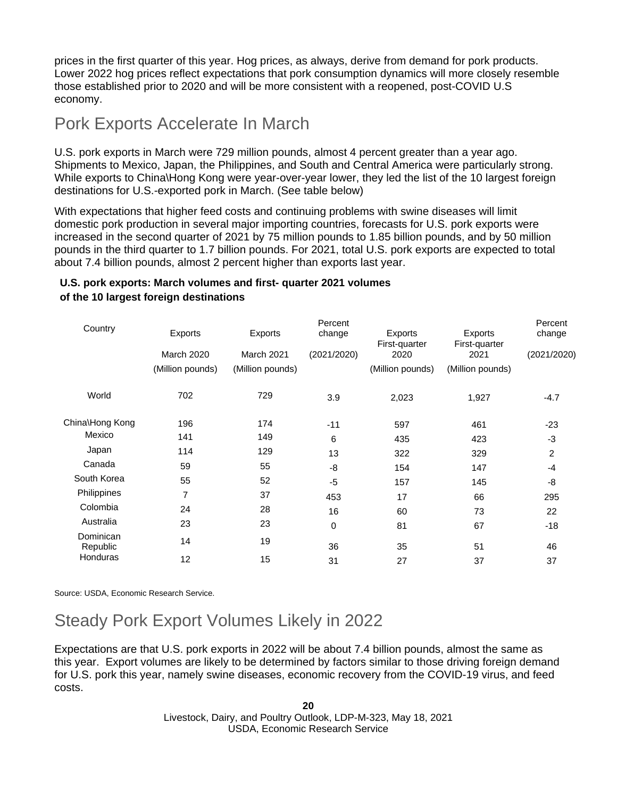prices in the first quarter of this year. Hog prices, as always, derive from demand for pork products. Lower 2022 hog prices reflect expectations that pork consumption dynamics will more closely resemble those established prior to 2020 and will be more consistent with a reopened, post-COVID U.S economy.

## Pork Exports Accelerate In March

U.S. pork exports in March were 729 million pounds, almost 4 percent greater than a year ago. Shipments to Mexico, Japan, the Philippines, and South and Central America were particularly strong. While exports to China\Hong Kong were year-over-year lower, they led the list of the 10 largest foreign destinations for U.S.-exported pork in March. (See table below)

With expectations that higher feed costs and continuing problems with swine diseases will limit domestic pork production in several major importing countries, forecasts for U.S. pork exports were increased in the second quarter of 2021 by 75 million pounds to 1.85 billion pounds, and by 50 million pounds in the third quarter to 1.7 billion pounds. For 2021, total U.S. pork exports are expected to total about 7.4 billion pounds, almost 2 percent higher than exports last year.

## **U.S. pork exports: March volumes and first- quarter 2021 volumes of the 10 largest foreign destinations**

|                       |                  |                  | Percent     |                       |                       | Percent        |
|-----------------------|------------------|------------------|-------------|-----------------------|-----------------------|----------------|
| Country               | Exports          | Exports          | change      | Exports               | Exports               | change         |
|                       | March 2020       | March 2021       | (2021/2020) | First-quarter<br>2020 | First-quarter<br>2021 | (2021/2020)    |
|                       | (Million pounds) | (Million pounds) |             | (Million pounds)      | (Million pounds)      |                |
| World                 | 702              | 729              | 3.9         | 2,023                 | 1,927                 | $-4.7$         |
| China\Hong Kong       | 196              | 174              | $-11$       | 597                   | 461                   | $-23$          |
| Mexico                | 141              | 149              | 6           | 435                   | 423                   | $-3$           |
| Japan                 | 114              | 129              | 13          | 322                   | 329                   | $\overline{2}$ |
| Canada                | 59               | 55               | -8          | 154                   | 147                   | -4             |
| South Korea           | 55               | 52               | $-5$        | 157                   | 145                   | -8             |
| Philippines           | $\overline{7}$   | 37               | 453         | 17                    | 66                    | 295            |
| Colombia              | 24               | 28               | 16          | 60                    | 73                    | 22             |
| Australia             | 23               | 23               | 0           | 81                    | 67                    | $-18$          |
| Dominican<br>Republic | 14               | 19               | 36          | 35                    | 51                    | 46             |
| Honduras              | 12               | 15               | 31          | 27                    | 37                    | 37             |
|                       |                  |                  |             |                       |                       |                |

Source: USDA, Economic Research Service.

# Steady Pork Export Volumes Likely in 2022

Expectations are that U.S. pork exports in 2022 will be about 7.4 billion pounds, almost the same as this year. Export volumes are likely to be determined by factors similar to those driving foreign demand for U.S. pork this year, namely swine diseases, economic recovery from the COVID-19 virus, and feed costs.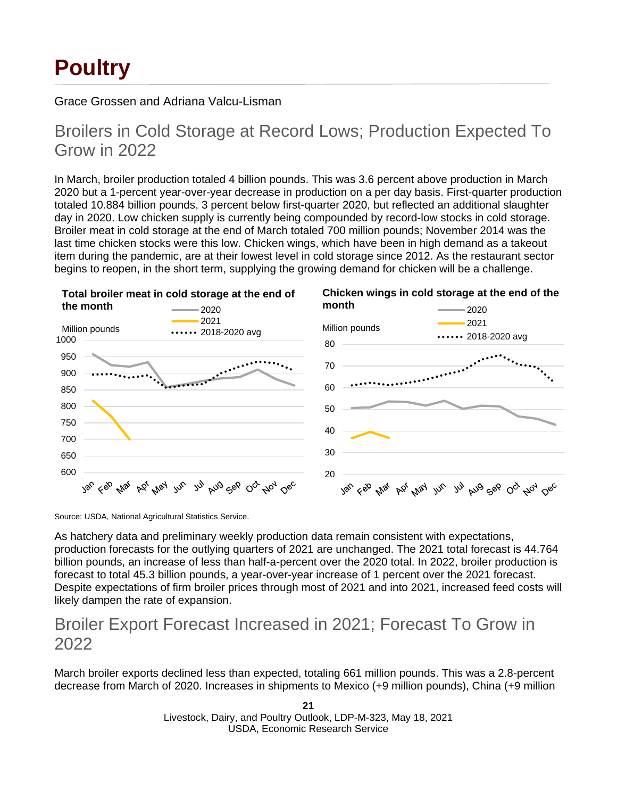# **Poultry**

Grace Grossen and Adriana Valcu-Lisman

## Broilers in Cold Storage at Record Lows; Production Expected To Grow in 2022

In March, broiler production totaled 4 billion pounds. This was 3.6 percent above production in March 2020 but a 1-percent year-over-year decrease in production on a per day basis. First-quarter production totaled 10.884 billion pounds, 3 percent below first-quarter 2020, but reflected an additional slaughter day in 2020. Low chicken supply is currently being compounded by record-low stocks in cold storage. Broiler meat in cold storage at the end of March totaled 700 million pounds; November 2014 was the last time chicken stocks were this low. Chicken wings, which have been in high demand as a takeout item during the pandemic, are at their lowest level in cold storage since 2012. As the restaurant sector begins to reopen, in the short term, supplying the growing demand for chicken will be a challenge.



Source: USDA, National Agricultural Statistics Service.

As hatchery data and preliminary weekly production data remain consistent with expectations, production forecasts for the outlying quarters of 2021 are unchanged. The 2021 total forecast is 44.764 billion pounds, an increase of less than half-a-percent over the 2020 total. In 2022, broiler production is forecast to total 45.3 billion pounds, a year-over-year increase of 1 percent over the 2021 forecast. Despite expectations of firm broiler prices through most of 2021 and into 2021, increased feed costs will likely dampen the rate of expansion.

## Broiler Export Forecast Increased in 2021; Forecast To Grow in 2022

March broiler exports declined less than expected, totaling 661 million pounds. This was a 2.8-percent decrease from March of 2020. Increases in shipments to Mexico (+9 million pounds), China (+9 million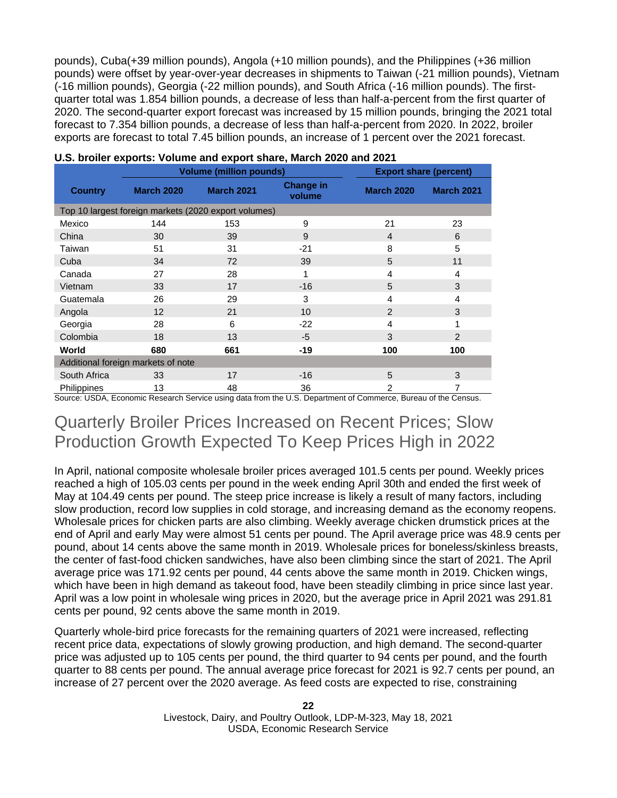pounds), Cuba(+39 million pounds), Angola (+10 million pounds), and the Philippines (+36 million pounds) were offset by year-over-year decreases in shipments to Taiwan (-21 million pounds), Vietnam (-16 million pounds), Georgia (-22 million pounds), and South Africa (-16 million pounds). The firstquarter total was 1.854 billion pounds, a decrease of less than half-a-percent from the first quarter of 2020. The second-quarter export forecast was increased by 15 million pounds, bringing the 2021 total forecast to 7.354 billion pounds, a decrease of less than half-a-percent from 2020. In 2022, broiler exports are forecast to total 7.45 billion pounds, an increase of 1 percent over the 2021 forecast.

|                    |                                    | <b>Volume (million pounds)</b>                       |                            | <b>Export share (percent)</b> |                   |
|--------------------|------------------------------------|------------------------------------------------------|----------------------------|-------------------------------|-------------------|
| <b>Country</b>     | <b>March 2020</b>                  | <b>March 2021</b>                                    | <b>Change in</b><br>volume | <b>March 2020</b>             | <b>March 2021</b> |
|                    |                                    | Top 10 largest foreign markets (2020 export volumes) |                            |                               |                   |
| Mexico             | 144                                | 153                                                  | 9                          | 21                            | 23                |
| China              | 30                                 | 39                                                   | 9                          | $\overline{4}$                | 6                 |
| Taiwan             | 51                                 | 31                                                   | $-21$                      | 8                             | 5                 |
| Cuba               | 34                                 | 72                                                   | 39                         | 5                             | 11                |
| Canada             | 27                                 | 28                                                   | 1                          | 4                             | 4                 |
| Vietnam            | 33                                 | 17                                                   | $-16$                      | 5                             | 3                 |
| Guatemala          | 26                                 | 29                                                   | 3                          | 4                             | 4                 |
| Angola             | 12                                 | 21                                                   | 10                         | 2                             | 3                 |
| Georgia            | 28                                 | 6                                                    | $-22$                      | 4                             |                   |
| Colombia           | 18                                 | 13                                                   | $-5$                       | 3                             | 2                 |
| World              | 680                                | 661                                                  | -19                        | 100                           | 100               |
|                    | Additional foreign markets of note |                                                      |                            |                               |                   |
| South Africa       | 33                                 | 17                                                   | $-16$                      | 5                             | 3                 |
| <b>Philippines</b> | 13                                 | 48                                                   | 36                         | 2                             | 7                 |

Source: USDA, Economic Research Service using data from the U.S. Department of Commerce, Bureau of the Census.

## Quarterly Broiler Prices Increased on Recent Prices; Slow Production Growth Expected To Keep Prices High in 2022

In April, national composite wholesale broiler prices averaged 101.5 cents per pound. Weekly prices reached a high of 105.03 cents per pound in the week ending April 30th and ended the first week of May at 104.49 cents per pound. The steep price increase is likely a result of many factors, including slow production, record low supplies in cold storage, and increasing demand as the economy reopens. Wholesale prices for chicken parts are also climbing. Weekly average chicken drumstick prices at the end of April and early May were almost 51 cents per pound. The April average price was 48.9 cents per pound, about 14 cents above the same month in 2019. Wholesale prices for boneless/skinless breasts, the center of fast-food chicken sandwiches, have also been climbing since the start of 2021. The April average price was 171.92 cents per pound, 44 cents above the same month in 2019. Chicken wings, which have been in high demand as takeout food, have been steadily climbing in price since last year. April was a low point in wholesale wing prices in 2020, but the average price in April 2021 was 291.81 cents per pound, 92 cents above the same month in 2019.

Quarterly whole-bird price forecasts for the remaining quarters of 2021 were increased, reflecting recent price data, expectations of slowly growing production, and high demand. The second-quarter price was adjusted up to 105 cents per pound, the third quarter to 94 cents per pound, and the fourth quarter to 88 cents per pound. The annual average price forecast for 2021 is 92.7 cents per pound, an increase of 27 percent over the 2020 average. As feed costs are expected to rise, constraining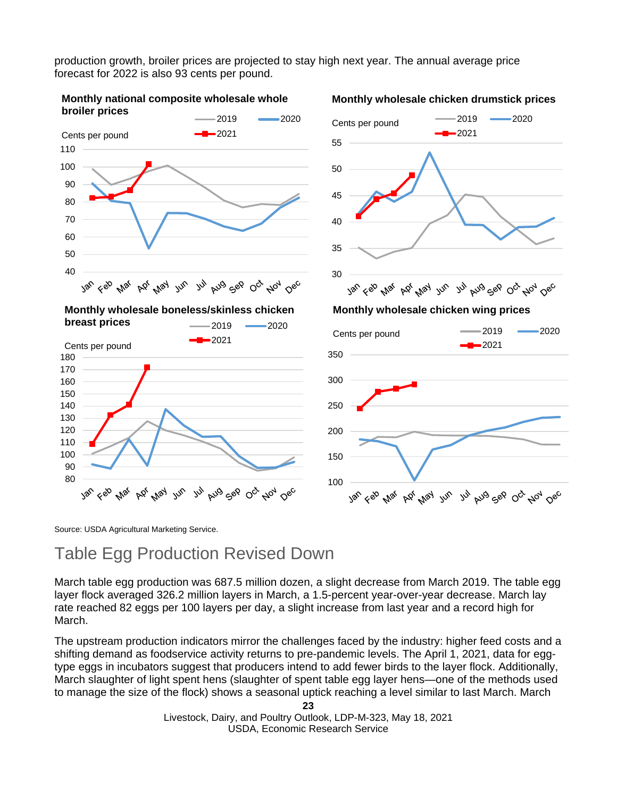production growth, broiler prices are projected to stay high next year. The annual average price forecast for 2022 is also 93 cents per pound.



Source: USDA Agricultural Marketing Service.

## Table Egg Production Revised Down

March table egg production was 687.5 million dozen, a slight decrease from March 2019. The table egg layer flock averaged 326.2 million layers in March, a 1.5-percent year-over-year decrease. March lay rate reached 82 eggs per 100 layers per day, a slight increase from last year and a record high for March.

The upstream production indicators mirror the challenges faced by the industry: higher feed costs and a shifting demand as foodservice activity returns to pre-pandemic levels. The April 1, 2021, data for eggtype eggs in incubators suggest that producers intend to add fewer birds to the layer flock. Additionally, March slaughter of light spent hens (slaughter of spent table egg layer hens—one of the methods used to manage the size of the flock) shows a seasonal uptick reaching a level similar to last March. March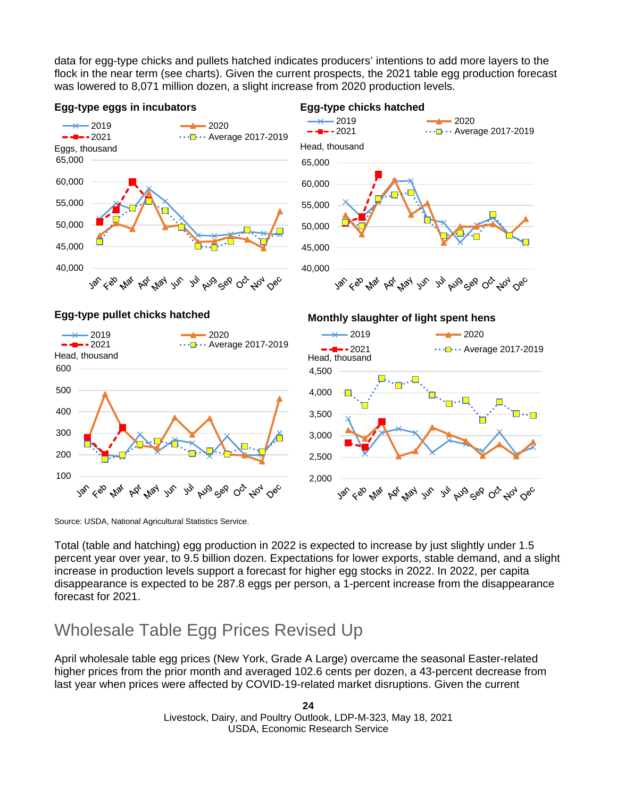data for egg-type chicks and pullets hatched indicates producers' intentions to add more layers to the flock in the near term (see charts). Given the current prospects, the 2021 table egg production forecast was lowered to 8,071 million dozen, a slight increase from 2020 production levels.



Source: USDA, National Agricultural Statistics Service.

Total (table and hatching) egg production in 2022 is expected to increase by just slightly under 1.5 percent year over year, to 9.5 billion dozen. Expectations for lower exports, stable demand, and a slight increase in production levels support a forecast for higher egg stocks in 2022. In 2022, per capita disappearance is expected to be 287.8 eggs per person, a 1-percent increase from the disappearance forecast for 2021.

## Wholesale Table Egg Prices Revised Up

April wholesale table egg prices (New York, Grade A Large) overcame the seasonal Easter-related higher prices from the prior month and averaged 102.6 cents per dozen, a 43-percent decrease from last year when prices were affected by COVID-19-related market disruptions. Given the current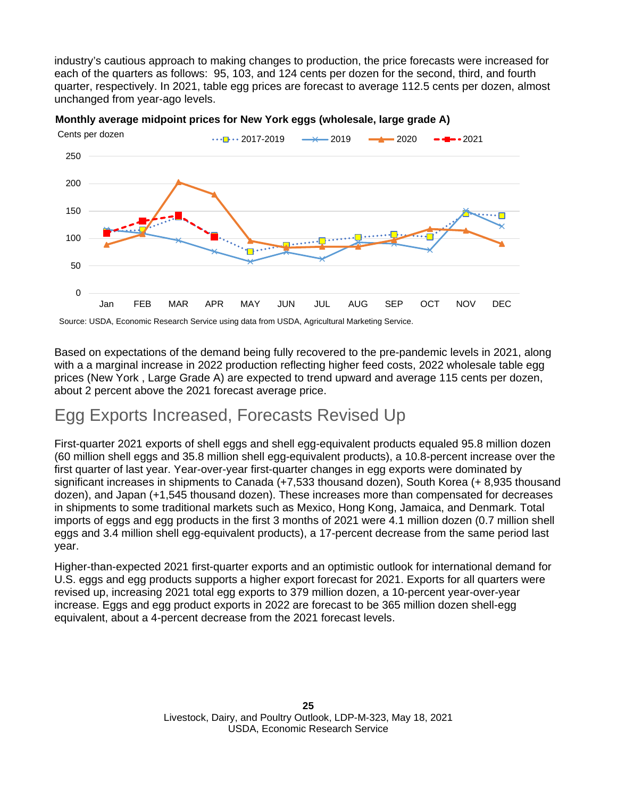industry's cautious approach to making changes to production, the price forecasts were increased for each of the quarters as follows: 95, 103, and 124 cents per dozen for the second, third, and fourth quarter, respectively. In 2021, table egg prices are forecast to average 112.5 cents per dozen, almost unchanged from year-ago levels.



**Monthly average midpoint prices for New York eggs (wholesale, large grade A)**

Source: USDA, Economic Research Service using data from USDA, Agricultural Marketing Service.

Based on expectations of the demand being fully recovered to the pre-pandemic levels in 2021, along with a a marginal increase in 2022 production reflecting higher feed costs, 2022 wholesale table egg prices (New York , Large Grade A) are expected to trend upward and average 115 cents per dozen, about 2 percent above the 2021 forecast average price.

## Egg Exports Increased, Forecasts Revised Up

First-quarter 2021 exports of shell eggs and shell egg-equivalent products equaled 95.8 million dozen (60 million shell eggs and 35.8 million shell egg-equivalent products), a 10.8-percent increase over the first quarter of last year. Year-over-year first-quarter changes in egg exports were dominated by significant increases in shipments to Canada (+7,533 thousand dozen), South Korea (+ 8,935 thousand dozen), and Japan (+1,545 thousand dozen). These increases more than compensated for decreases in shipments to some traditional markets such as Mexico, Hong Kong, Jamaica, and Denmark. Total imports of eggs and egg products in the first 3 months of 2021 were 4.1 million dozen (0.7 million shell eggs and 3.4 million shell egg-equivalent products), a 17-percent decrease from the same period last year.

Higher-than-expected 2021 first-quarter exports and an optimistic outlook for international demand for U.S. eggs and egg products supports a higher export forecast for 2021. Exports for all quarters were revised up, increasing 2021 total egg exports to 379 million dozen, a 10-percent year-over-year increase. Eggs and egg product exports in 2022 are forecast to be 365 million dozen shell-egg equivalent, about a 4-percent decrease from the 2021 forecast levels.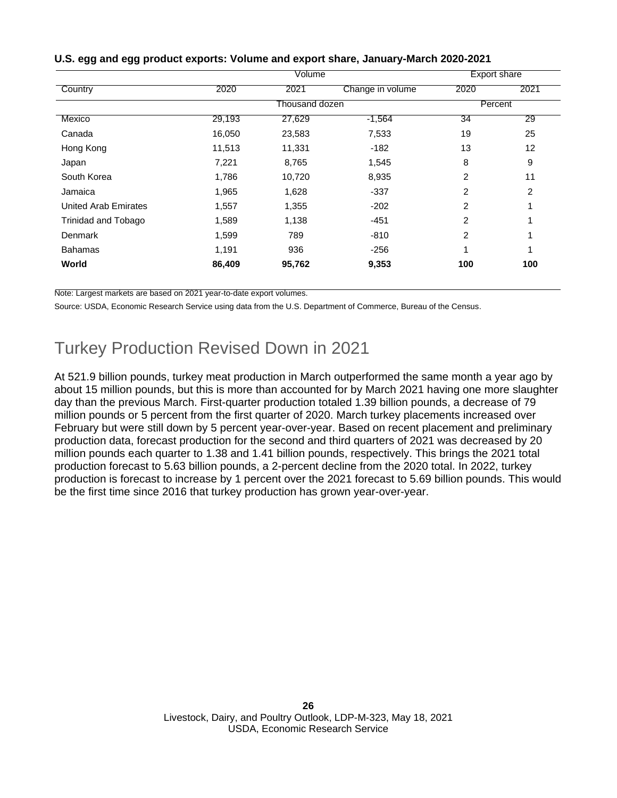|                      |        | Export share   |                  |                |      |
|----------------------|--------|----------------|------------------|----------------|------|
| Country              | 2020   | 2021           | Change in volume | 2020           | 2021 |
|                      |        | Thousand dozen |                  | Percent        |      |
| Mexico               | 29,193 | 27,629         | $-1,564$         | 34             | 29   |
| Canada               | 16,050 | 23,583         | 7,533            | 19             | 25   |
| Hong Kong            | 11,513 | 11,331         | -182             | 13             | 12   |
| Japan                | 7,221  | 8,765          | 1,545            | 8              | 9    |
| South Korea          | 1,786  | 10,720         | 8,935            | $\overline{2}$ | 11   |
| Jamaica              | 1,965  | 1,628          | $-337$           | 2              | 2    |
| United Arab Emirates | 1,557  | 1,355          | $-202$           | $\overline{2}$ | 1    |
| Trinidad and Tobago  | 1,589  | 1,138          | $-451$           | $\overline{2}$ | 1    |
| Denmark              | 1,599  | 789            | $-810$           | $\overline{2}$ | 1    |
| <b>Bahamas</b>       | 1,191  | 936            | $-256$           | 1              | 1    |
| World                | 86,409 | 95,762         | 9,353            | 100            | 100  |

## **U.S. egg and egg product exports: Volume and export share, January-March 2020-2021**

Note: Largest markets are based on 2021 year-to-date export volumes.

Source: USDA, Economic Research Service using data from the U.S. Department of Commerce, Bureau of the Census.

## Turkey Production Revised Down in 2021

At 521.9 billion pounds, turkey meat production in March outperformed the same month a year ago by about 15 million pounds, but this is more than accounted for by March 2021 having one more slaughter day than the previous March. First-quarter production totaled 1.39 billion pounds, a decrease of 79 million pounds or 5 percent from the first quarter of 2020. March turkey placements increased over February but were still down by 5 percent year-over-year. Based on recent placement and preliminary production data, forecast production for the second and third quarters of 2021 was decreased by 20 million pounds each quarter to 1.38 and 1.41 billion pounds, respectively. This brings the 2021 total production forecast to 5.63 billion pounds, a 2-percent decline from the 2020 total. In 2022, turkey production is forecast to increase by 1 percent over the 2021 forecast to 5.69 billion pounds. This would be the first time since 2016 that turkey production has grown year-over-year.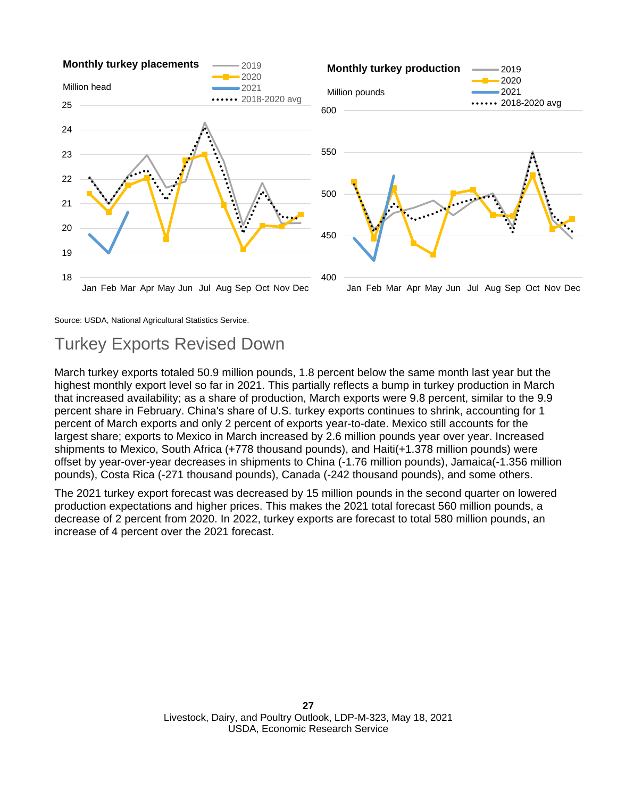

Source: USDA, National Agricultural Statistics Service.

## Turkey Exports Revised Down

March turkey exports totaled 50.9 million pounds, 1.8 percent below the same month last year but the highest monthly export level so far in 2021. This partially reflects a bump in turkey production in March that increased availability; as a share of production, March exports were 9.8 percent, similar to the 9.9 percent share in February. China's share of U.S. turkey exports continues to shrink, accounting for 1 percent of March exports and only 2 percent of exports year-to-date. Mexico still accounts for the largest share; exports to Mexico in March increased by 2.6 million pounds year over year. Increased shipments to Mexico, South Africa (+778 thousand pounds), and Haiti(+1.378 million pounds) were offset by year-over-year decreases in shipments to China (-1.76 million pounds), Jamaica(-1.356 million pounds), Costa Rica (-271 thousand pounds), Canada (-242 thousand pounds), and some others.

The 2021 turkey export forecast was decreased by 15 million pounds in the second quarter on lowered production expectations and higher prices. This makes the 2021 total forecast 560 million pounds, a decrease of 2 percent from 2020. In 2022, turkey exports are forecast to total 580 million pounds, an increase of 4 percent over the 2021 forecast.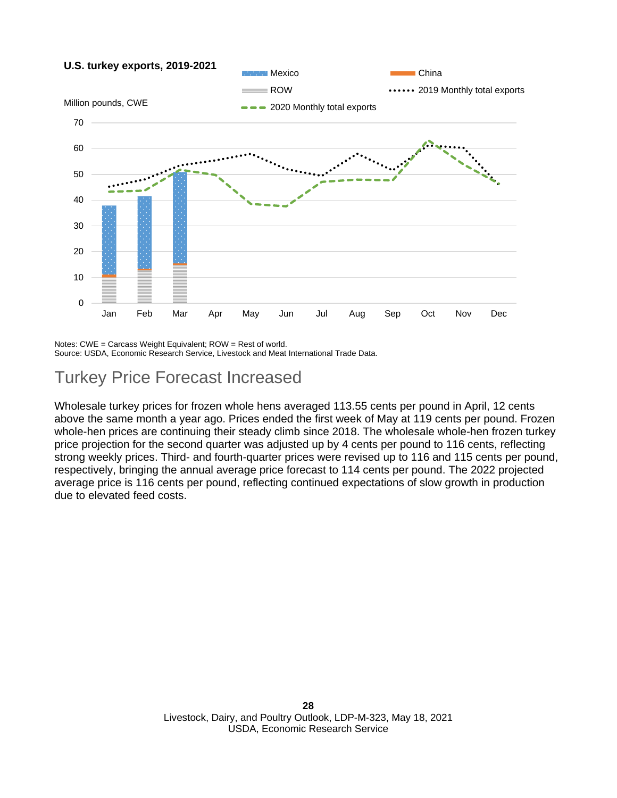

Notes: CWE = Carcass Weight Equivalent; ROW = Rest of world.

Source: USDA, Economic Research Service, Livestock and Meat International Trade Data.

## Turkey Price Forecast Increased

Wholesale turkey prices for frozen whole hens averaged 113.55 cents per pound in April, 12 cents above the same month a year ago. Prices ended the first week of May at 119 cents per pound. Frozen whole-hen prices are continuing their steady climb since 2018. The wholesale whole-hen frozen turkey price projection for the second quarter was adjusted up by 4 cents per pound to 116 cents, reflecting strong weekly prices. Third- and fourth-quarter prices were revised up to 116 and 115 cents per pound, respectively, bringing the annual average price forecast to 114 cents per pound. The 2022 projected average price is 116 cents per pound, reflecting continued expectations of slow growth in production due to elevated feed costs.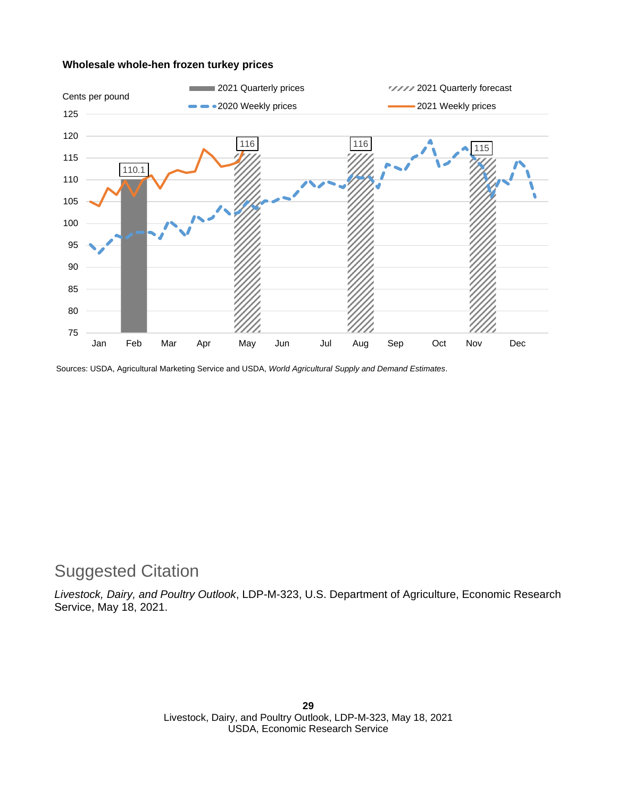### **Wholesale whole-hen frozen turkey prices**



Sources: USDA, Agricultural Marketing Service and USDA, *World Agricultural Supply and Demand Estimates*.

# Suggested Citation

*Livestock, Dairy, and Poultry Outlook*, LDP-M-323, U.S. Department of Agriculture, Economic Research Service, May 18, 2021.